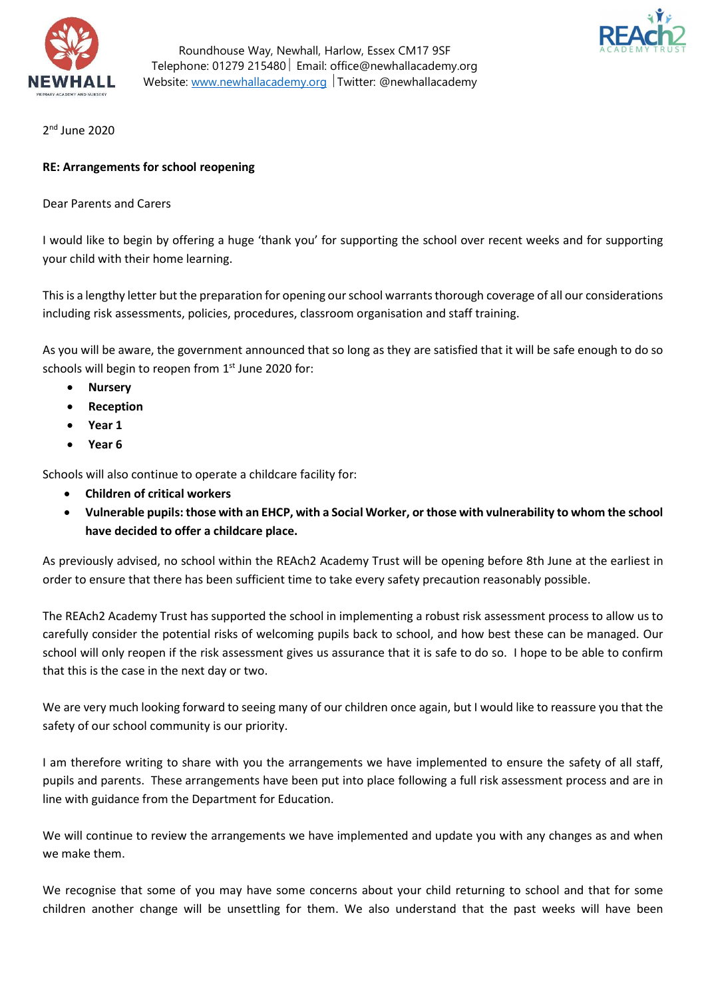

Roundhouse Way, Newhall, Harlow, Essex CM17 9SF Telephone: 01279 215480 Email: office@newhallacademy.org Website: www.newhallacademy.org Twitter: @newhallacademy



2 nd June 2020

### RE: Arrangements for school reopening

Dear Parents and Carers

I would like to begin by offering a huge 'thank you' for supporting the school over recent weeks and for supporting your child with their home learning.

This is a lengthy letter but the preparation for opening our school warrants thorough coverage of all our considerations including risk assessments, policies, procedures, classroom organisation and staff training.

As you will be aware, the government announced that so long as they are satisfied that it will be safe enough to do so schools will begin to reopen from 1<sup>st</sup> June 2020 for:

- Nursery
- Reception
- Year 1
- Year 6

Schools will also continue to operate a childcare facility for:

- Children of critical workers
- Vulnerable pupils: those with an EHCP, with a Social Worker, or those with vulnerability to whom the school have decided to offer a childcare place.

As previously advised, no school within the REAch2 Academy Trust will be opening before 8th June at the earliest in order to ensure that there has been sufficient time to take every safety precaution reasonably possible.

The REAch2 Academy Trust has supported the school in implementing a robust risk assessment process to allow us to carefully consider the potential risks of welcoming pupils back to school, and how best these can be managed. Our school will only reopen if the risk assessment gives us assurance that it is safe to do so. I hope to be able to confirm that this is the case in the next day or two.

We are very much looking forward to seeing many of our children once again, but I would like to reassure you that the safety of our school community is our priority.

I am therefore writing to share with you the arrangements we have implemented to ensure the safety of all staff, pupils and parents. These arrangements have been put into place following a full risk assessment process and are in line with guidance from the Department for Education.

We will continue to review the arrangements we have implemented and update you with any changes as and when we make them.

We recognise that some of you may have some concerns about your child returning to school and that for some children another change will be unsettling for them. We also understand that the past weeks will have been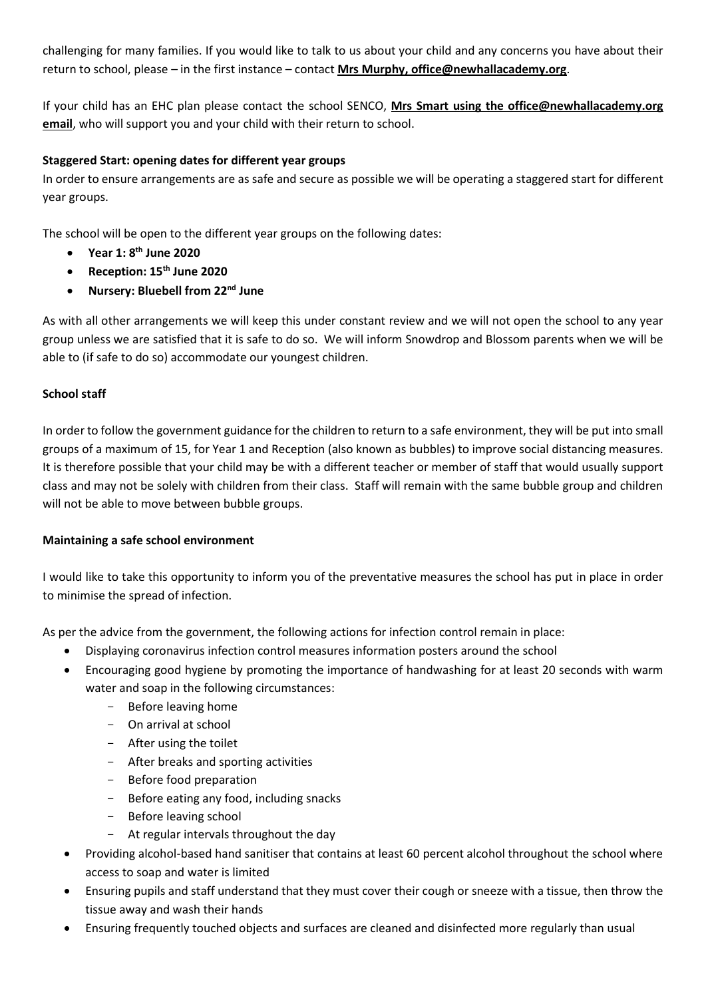challenging for many families. If you would like to talk to us about your child and any concerns you have about their return to school, please – in the first instance – contact Mrs Murphy, office@newhallacademy.org.

If your child has an EHC plan please contact the school SENCO, Mrs Smart using the office@newhallacademy.org email, who will support you and your child with their return to school.

## Staggered Start: opening dates for different year groups

In order to ensure arrangements are as safe and secure as possible we will be operating a staggered start for different year groups.

The school will be open to the different year groups on the following dates:

- $\bullet$  Year 1: 8<sup>th</sup> June 2020
- Reception: 15<sup>th</sup> June 2020
- Nursery: Bluebell from 22<sup>nd</sup> June

As with all other arrangements we will keep this under constant review and we will not open the school to any year group unless we are satisfied that it is safe to do so. We will inform Snowdrop and Blossom parents when we will be able to (if safe to do so) accommodate our youngest children.

### School staff

In order to follow the government guidance for the children to return to a safe environment, they will be put into small groups of a maximum of 15, for Year 1 and Reception (also known as bubbles) to improve social distancing measures. It is therefore possible that your child may be with a different teacher or member of staff that would usually support class and may not be solely with children from their class. Staff will remain with the same bubble group and children will not be able to move between bubble groups.

#### Maintaining a safe school environment

I would like to take this opportunity to inform you of the preventative measures the school has put in place in order to minimise the spread of infection.

As per the advice from the government, the following actions for infection control remain in place:

- Displaying coronavirus infection control measures information posters around the school
- Encouraging good hygiene by promoting the importance of handwashing for at least 20 seconds with warm water and soap in the following circumstances:
	- Before leaving home
	- On arrival at school
	- After using the toilet
	- After breaks and sporting activities
	- Before food preparation
	- Before eating any food, including snacks
	- Before leaving school
	- At regular intervals throughout the day
- Providing alcohol-based hand sanitiser that contains at least 60 percent alcohol throughout the school where access to soap and water is limited
- Ensuring pupils and staff understand that they must cover their cough or sneeze with a tissue, then throw the tissue away and wash their hands
- Ensuring frequently touched objects and surfaces are cleaned and disinfected more regularly than usual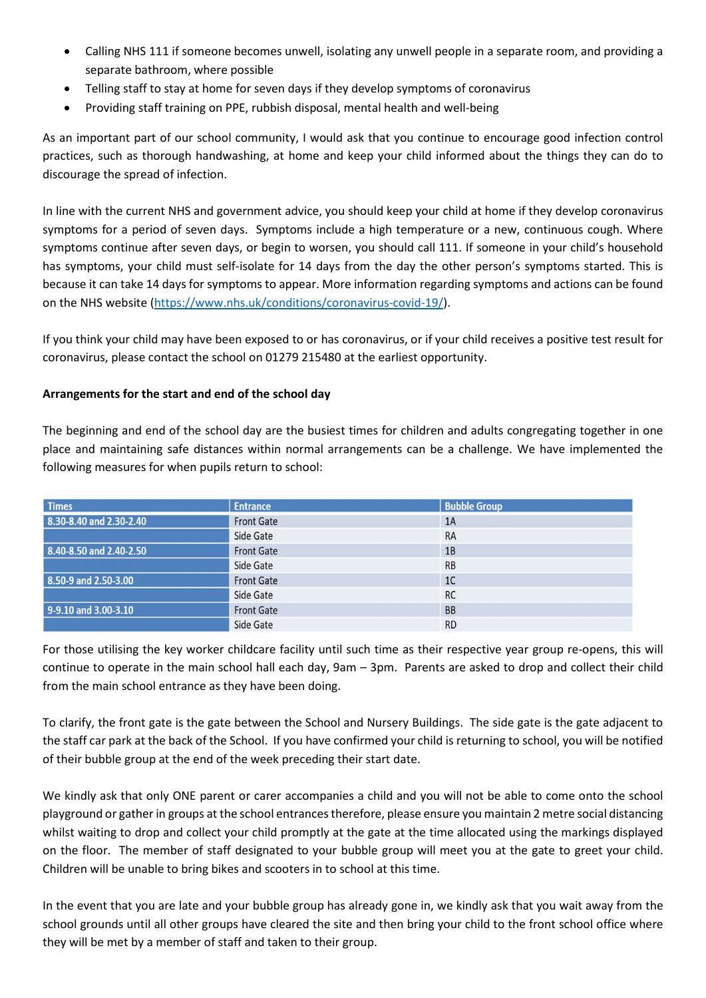- Calling NHS 111 if someone becomes unwell, isolating any unwell people in a separate room, and providing a separate bathroom, where possible
- Telling staff to stay at home for seven days if they develop symptoms of coronavirus
- Providing staff training on PPE, rubbish disposal, mental health and well-being

As an important part of our school community, I would ask that you continue to encourage good infection control practices, such as thorough handwashing, at home and keep your child informed about the things they can do to discourage the spread of infection.

In line with the current NHS and government advice, you should keep your child at home if they develop coronavirus symptoms for a period of seven days. Symptoms include a high temperature or a new, continuous cough. Where symptoms continue after seven days, or begin to worsen, you should call 111. If someone in your child's household has symptoms, your child must self-isolate for 14 days from the day the other person's symptoms started. This is because it can take 14 days for symptoms to appear. More information regarding symptoms and actions can be found on the NHS website (https://www.nhs.uk/conditions/coronavirus-covid-19/).

If you think your child may have been exposed to or has coronavirus, or if your child receives a positive test result for coronavirus, please contact the school on 01279 215480 at the earliest opportunity.

# Arrangements for the start and end of the school day

The beginning and end of the school day are the busiest times for children and adults congregating together in one place and maintaining safe distances within normal arrangements can be a challenge. We have implemented the following measures for when pupils return to school:

| <b>Times</b>            | <b>Entrance</b>   | <b>Bubble Group</b> |
|-------------------------|-------------------|---------------------|
| 8.30-8.40 and 2.30-2.40 | <b>Front Gate</b> | 1A                  |
|                         | Side Gate         | <b>RA</b>           |
| 8.40-8.50 and 2.40-2.50 | <b>Front Gate</b> | 1B                  |
|                         | Side Gate         | <b>RB</b>           |
| 8.50-9 and 2.50-3.00    | <b>Front Gate</b> | 1 <sup>C</sup>      |
|                         | Side Gate         | <b>RC</b>           |
| 9-9.10 and 3.00-3.10    | <b>Front Gate</b> | <b>BB</b>           |
|                         | Side Gate         | <b>RD</b>           |

For those utilising the key worker childcare facility until such time as their respective year group re-opens, this will continue to operate in the main school hall each day, 9am – 3pm. Parents are asked to drop and collect their child from the main school entrance as they have been doing.

To clarify, the front gate is the gate between the School and Nursery Buildings. The side gate is the gate adjacent to the staff car park at the back of the School. If you have confirmed your child is returning to school, you will be notified of their bubble group at the end of the week preceding their start date.

We kindly ask that only ONE parent or carer accompanies a child and you will not be able to come onto the school playground or gather in groups at the school entrances therefore, please ensure you maintain 2 metre social distancing whilst waiting to drop and collect your child promptly at the gate at the time allocated using the markings displayed on the floor. The member of staff designated to your bubble group will meet you at the gate to greet your child. Children will be unable to bring bikes and scooters in to school at this time.

In the event that you are late and your bubble group has already gone in, we kindly ask that you wait away from the school grounds until all other groups have cleared the site and then bring your child to the front school office where they will be met by a member of staff and taken to their group.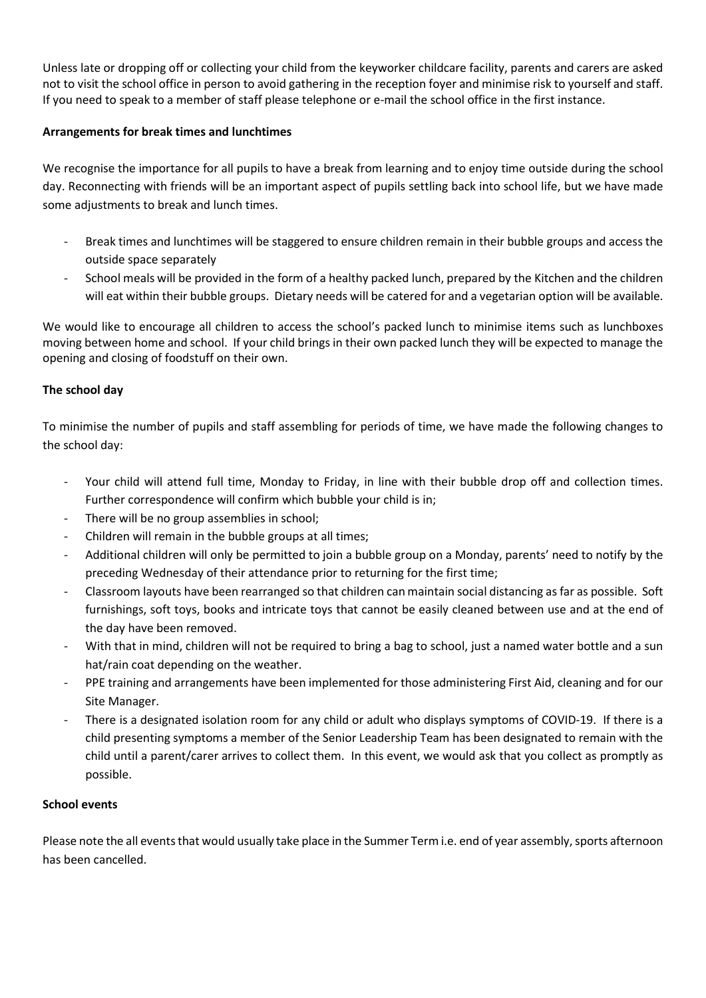Unless late or dropping off or collecting your child from the keyworker childcare facility, parents and carers are asked not to visit the school office in person to avoid gathering in the reception foyer and minimise risk to yourself and staff. If you need to speak to a member of staff please telephone or e-mail the school office in the first instance.

### Arrangements for break times and lunchtimes

We recognise the importance for all pupils to have a break from learning and to enjoy time outside during the school day. Reconnecting with friends will be an important aspect of pupils settling back into school life, but we have made some adjustments to break and lunch times.

- Break times and lunchtimes will be staggered to ensure children remain in their bubble groups and access the outside space separately
- School meals will be provided in the form of a healthy packed lunch, prepared by the Kitchen and the children will eat within their bubble groups. Dietary needs will be catered for and a vegetarian option will be available.

We would like to encourage all children to access the school's packed lunch to minimise items such as lunchboxes moving between home and school. If your child brings in their own packed lunch they will be expected to manage the opening and closing of foodstuff on their own.

### The school day

To minimise the number of pupils and staff assembling for periods of time, we have made the following changes to the school day:

- Your child will attend full time, Monday to Friday, in line with their bubble drop off and collection times. Further correspondence will confirm which bubble your child is in;
- There will be no group assemblies in school;
- Children will remain in the bubble groups at all times;
- Additional children will only be permitted to join a bubble group on a Monday, parents' need to notify by the preceding Wednesday of their attendance prior to returning for the first time;
- Classroom layouts have been rearranged so that children can maintain social distancing as far as possible. Soft furnishings, soft toys, books and intricate toys that cannot be easily cleaned between use and at the end of the day have been removed.
- With that in mind, children will not be required to bring a bag to school, just a named water bottle and a sun hat/rain coat depending on the weather.
- PPE training and arrangements have been implemented for those administering First Aid, cleaning and for our Site Manager.
- There is a designated isolation room for any child or adult who displays symptoms of COVID-19. If there is a child presenting symptoms a member of the Senior Leadership Team has been designated to remain with the child until a parent/carer arrives to collect them. In this event, we would ask that you collect as promptly as possible.

#### School events

Please note the all events that would usually take place in the Summer Term i.e. end of year assembly, sports afternoon has been cancelled.